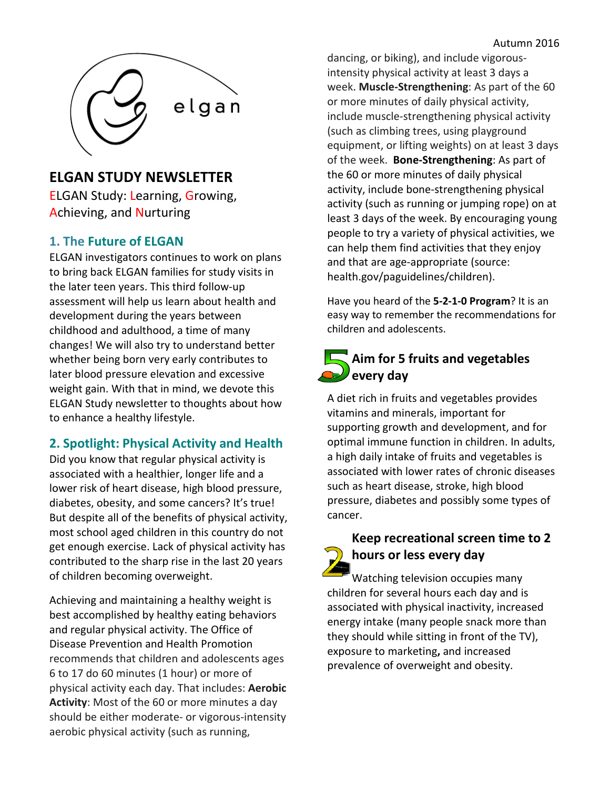

## **ELGAN STUDY NEWSLETTER**

ELGAN Study: Learning, Growing, Achieving, and Nurturing

#### **1. The Future of ELGAN**

ELGAN investigators continues to work on plans to bring back ELGAN families for study visits in the later teen years. This third follow-up assessment will help us learn about health and development during the years between childhood and adulthood, a time of many changes! We will also try to understand better whether being born very early contributes to later blood pressure elevation and excessive weight gain. With that in mind, we devote this ELGAN Study newsletter to thoughts about how to enhance a healthy lifestyle.

### **2. Spotlight: Physical Activity and Health**

Did you know that regular physical activity is associated with a healthier, longer life and a lower risk of heart disease, high blood pressure, diabetes, obesity, and some cancers? It's true! But despite all of the benefits of physical activity, most school aged children in this country do not get enough exercise. Lack of physical activity has contributed to the sharp rise in the last 20 years of children becoming overweight.

Achieving and maintaining a healthy weight is best accomplished by healthy eating behaviors and regular physical activity. The Office of Disease Prevention and Health Promotion recommends that children and adolescents ages 6 to 17 do 60 minutes (1 hour) or more of physical activity each day. That includes: **Aerobic Activity**: Most of the 60 or more minutes a day should be either moderate- or vigorous-intensity aerobic physical activity (such as running,

dancing, or biking), and include vigorousintensity physical activity at least 3 days a week. **Muscle-Strengthening**: As part of the 60 or more minutes of daily physical activity, include muscle-strengthening physical activity (such as climbing trees, using playground equipment, or lifting weights) on at least 3 days of the week. **Bone-Strengthening**: As part of the 60 or more minutes of daily physical activity, include bone-strengthening physical activity (such as running or jumping rope) on at least 3 days of the week. By encouraging young people to try a variety of physical activities, we can help them find activities that they enjoy and that are age-appropriate (source: health.gov/paguidelines/children).

Have you heard of the **5-2-1-0 Program**? It is an easy way to remember the recommendations for children and adolescents.

# **Aim for 5 fruits and vegetables every day**

A diet rich in fruits and vegetables provides vitamins and minerals, important for supporting growth and development, and for optimal immune function in children. In adults, a high daily intake of fruits and vegetables is associated with lower rates of chronic diseases such as heart disease, stroke, high blood pressure, diabetes and possibly some types of cancer.

## **Keep recreational screen time to 2 hours or less every day**

Watching television occupies many children for several hours each day and is associated with physical inactivity, increased energy intake (many people snack more than they should while sitting in front of the TV), exposure to marketing**,** and increased prevalence of overweight and obesity.